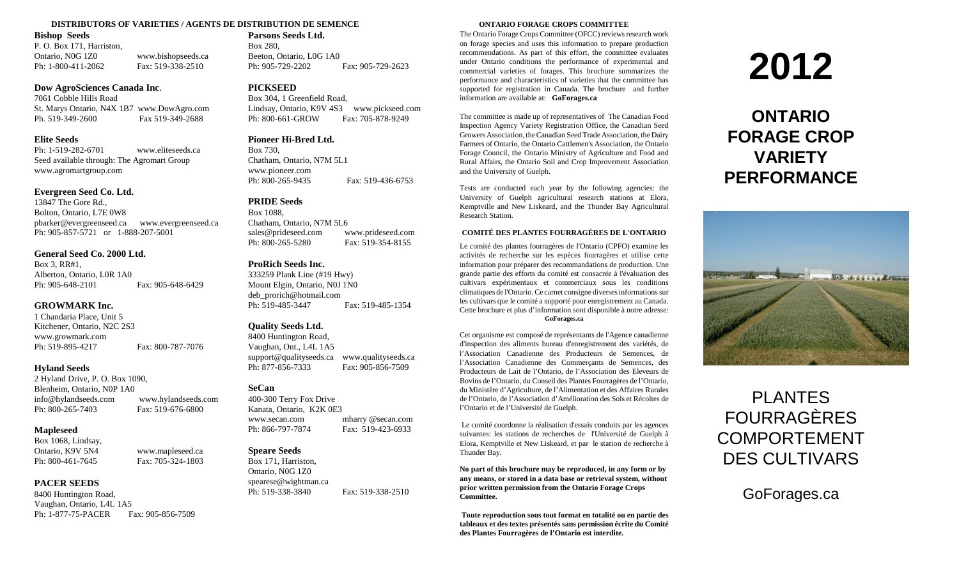## **DISTRIBUTORS OF VARIETIES / AGENTS DE DISTRIBUTION DE SEMENCE ONTARIO FORAGE CROPS COMMITTEE**

## **Bishop Seeds**

P. O. Box 171, Harriston, Ontario, N0G 1Z0 www.bishopseeds.ca Ph: 1-800-411-2062 Fax: 519-338-2510

## **Dow AgroSciences Canada Inc**.

7061 Cobble Hills Road St. Marys Ontario, N4X 1B7 www.DowAgro.com Ph. 519-349-2600 Fax 519-349-2688

## **Elite Seeds**

Ph: 1-519-282-6701 www.eliteseeds.ca Seed available through: The Agromart Group www.agromartgroup.com

## **Evergreen Seed Co. Ltd.**

13847 The Gore Rd., Bolton, Ontario, L7E 0W8 pbarker@evergreenseed.ca www.evergreenseed.ca Ph: 905-857-5721 or 1-888-207-5001

## **General Seed Co. 2000 Ltd.**

Box 3, RR#1, Alberton, Ontario, L0R 1A0 Ph: 905-648-2101 Fax: 905-648-6429

## **GROWMARK Inc.**

1 Chandaria Place, Unit 5 Kitchener, Ontario, N2C 2S3 www.growmark.com Ph: 519-895-4217 Fax: 800-787-7076

## **Hyland Seeds**

2 Hyland Drive, P. O. Box 1090, Blenheim, Ontario, N0P 1A0 info@hylandseeds.com www.hylandseeds.com Ph: 800-265-7403 Fax: 519-676-6800

## **Mapleseed**

Box 1068, Lindsay, Ontario, K9V 5N4 www.mapleseed.ca Ph: 800-461-7645 Fax: 705-324-1803

## **PACER SEEDS**

8400 Huntington Road, Vaughan, Ontario, L4L 1A5 Ph: 1-877-75-PACER Fax: 905-856-7509

## **Parsons Seeds Ltd.**

Box 280, Beeton, Ontario, L0G 1A0 Ph: 905-729-2202 Fax: 905-729-2623

## **PICKSEED**

Box 304, 1 Greenfield Road, Lindsay, Ontario, K9V 4S3 www.pickseed.com Ph: 800-661-GROW Fax: 705-878-9249

## **Pioneer Hi-Bred Ltd.**

Box 730, Chatham, Ontario, N7M 5L1 www.pioneer.com Ph: 800-265-9435 Fax: 519-436-6753

## **PRIDE Seeds**

Box 1088, Chatham, Ontario, N7M 5L6 sales@prideseed.com www.prideseed.com Ph: 800-265-5280 Fax: 519-354-8155

### **ProRich Seeds Inc.**

333259 Plank Line (#19 Hwy) Mount Elgin, Ontario, N0J 1N0 deb\_prorich@hotmail.com Ph: 519-485-3447 Fax: 519-485-1354

## **Quality Seeds Ltd.**

8400 Huntington Road, Vaughan, Ont., L4L 1A5 support@qualityseeds.ca www.qualityseeds.ca Ph: 877-856-7333 Fax: 905-856-7509

## **SeCan**

400-300 Terry Fox Drive Kanata, Ontario, K2K 0E3 www.secan.com mharry @secan.com Ph: 866-797-7874 Fax: 519-423-6933

## **Speare Seeds**

Box 171, Harriston, Ontario, N0G 1Z0 spearese@wightman.ca Ph: 519-338-3840 Fax: 519-338-2510

The Ontario Forage Crops Committee (OFCC) reviews research work on forage species and uses this information to prepare production recommendations. As part of this effort, the committee evaluates under Ontario conditions the performance of experimental and commercial varieties of forages. This brochure summarizes the performance and characteristics of varieties that the committee has supported for registration in Canada. The brochure and further information are available at: **GoForages.ca**

The committee is made up of representatives of The Canadian Food Inspection Agency Variety Registration Office, the Canadian Seed Growers Association, the Canadian Seed Trade Association, the Dairy Farmers of Ontario, the Ontario Cattlemen's Association, the Ontario Forage Council, the Ontario Ministry of Agriculture and Food and Rural Affairs, the Ontario Soil and Crop Improvement Association and the University of Guelph.

Tests are conducted each year by the following agencies: the University of Guelph agricultural research stations at Elora, Kemptville and New Liskeard, and the Thunder Bay Agricultural Research Station.

## **COMITÉ DES PLANTES FOURRAGÈRES DE L'ONTARIO**

Le comité des plantes fourragères de l'Ontario (CPFO) examine les activités de recherche sur les espèces fourragères et utilise cette information pour préparer des recommandations de production. Une grande partie des efforts du comité est consacrée à l'évaluation des cultivars expérimentaux et commerciaux sous les conditions climatiques de l'Ontario. Ce carnet consigne diverses informations sur les cultivars que le comité a supporté pour enregistrement au Canada. Cette brochure et plus d'information sont disponible à notre adresse:

### **GoForages.ca**

Cet organisme est composé de représentants de l'Agence canadienne d'inspection des aliments bureau d'enregistrement des variétés, de l'Association Canadienne des Producteurs de Semences, de l'Association Canadienne des Commerçants de Semences, des Producteurs de Lait de l'Ontario, de l'Association des Eleveurs de Bovins de l'Ontario, du Conseil des Plantes Fourragères de l'Ontario, du Ministère d'Agriculture, de l'Alimentation et des Affaires Rurales de l'Ontario, de l'Association d'Amélioration des Sols et Récoltes de l'Ontario et de l'Université de Guelph.

Le comité coordonne la réalisation d'essais conduits par les agences suivantes: les stations de recherches de l'Université de Guelph à Elora, Kemptville et New Liskeard, et par le station de recherche à Thunder Bay.

**No part of this brochure may be reproduced, in any form or by any means, or stored in a data base or retrieval system, without prior written permission from the Ontario Forage Crops Committee.**

**Toute reproduction sous tout format en totalité ou en partie des tableaux et des textes présentés sans permission écrite du Comité des Plantes Fourragères de l'Ontario est interdite.**

# **2012**

## **ONTARIO FORAGE CROP VARIETY PERFORMANCE**



## PLANTES FOURRAGÈRES COMPORTEMENT DES CULTIVARS

GoForages.ca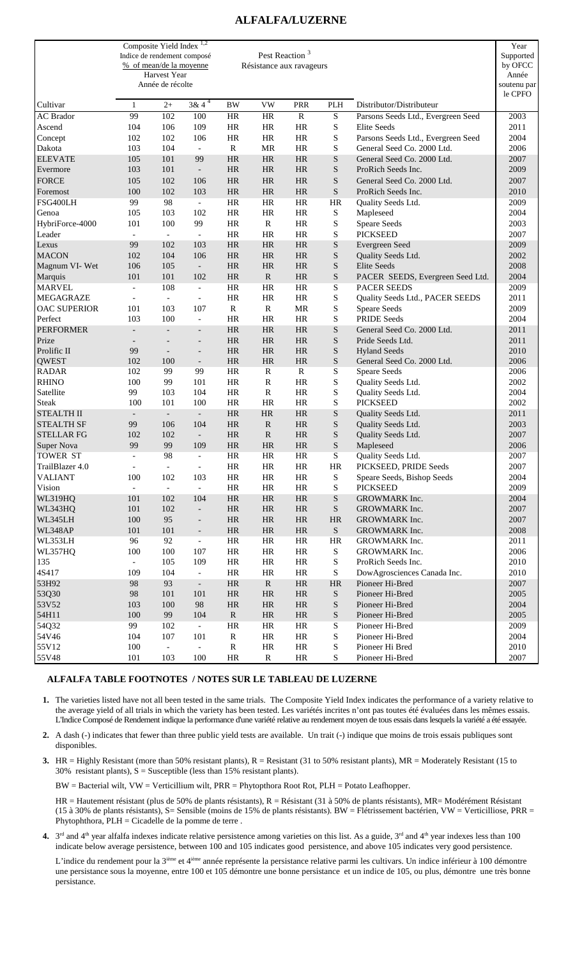## **ALFALFA/LUZERNE**

|                              | Composite Yield Index <sup>1,2</sup><br>Indice de rendement composé<br>% of mean/de la moyenne | Harvest Year<br>Année de récolte |                                                      |                        | Pest Reaction <sup>3</sup><br>Résistance aux ravageurs |                           |                        |                                            | Year<br>Supported<br>by OFCC<br>Année<br>soutenu par<br>le CPFO |
|------------------------------|------------------------------------------------------------------------------------------------|----------------------------------|------------------------------------------------------|------------------------|--------------------------------------------------------|---------------------------|------------------------|--------------------------------------------|-----------------------------------------------------------------|
| Cultivar                     | $\mathbf{1}$                                                                                   | $2+$                             | $3 & 4^4$                                            | <b>BW</b>              | <b>VW</b>                                              | <b>PRR</b>                | <b>PLH</b>             | Distributor/Distributeur                   |                                                                 |
| <b>AC</b> Brador             | 99                                                                                             | 102                              | 100                                                  | <b>HR</b>              | HR                                                     | ${\mathbb R}$             | S                      | Parsons Seeds Ltd., Evergreen Seed         | $\overline{2003}$                                               |
| Ascend                       | 104                                                                                            | 106                              | 109                                                  | <b>HR</b>              | $\rm{HR}$                                              | <b>HR</b>                 | $\mathbf S$            | Elite Seeds                                | 2011                                                            |
| Concept                      | 102                                                                                            | 102                              | 106                                                  | <b>HR</b>              | <b>HR</b>                                              | <b>HR</b>                 | S                      | Parsons Seeds Ltd., Evergreen Seed         | 2004                                                            |
| Dakota                       | 103                                                                                            | 104                              | $\equiv$                                             | $\mathbb{R}$           | <b>MR</b>                                              | <b>HR</b>                 | S                      | General Seed Co. 2000 Ltd.                 | 2006                                                            |
| <b>ELEVATE</b>               | 105                                                                                            | 101                              | 99                                                   | HR                     | HR                                                     | <b>HR</b>                 | ${\bf S}$              | General Seed Co. 2000 Ltd.                 | 2007                                                            |
| Evermore                     | 103                                                                                            | 101                              | $\overline{\phantom{a}}$                             | <b>HR</b>              | HR                                                     | <b>HR</b>                 | ${\bf S}$              | ProRich Seeds Inc.                         | 2009                                                            |
| <b>FORCE</b>                 | 105                                                                                            | 102                              | 106                                                  | HR                     | <b>HR</b>                                              | <b>HR</b>                 | S                      | General Seed Co. 2000 Ltd.                 | 2007                                                            |
| Foremost                     | 100                                                                                            | 102                              | 103                                                  | <b>HR</b>              | <b>HR</b>                                              | <b>HR</b>                 | S                      | ProRich Seeds Inc.                         | 2010                                                            |
| FSG400LH<br>Genoa            | 99<br>105                                                                                      | 98<br>103                        | $\blacksquare$<br>102                                | <b>HR</b><br><b>HR</b> | <b>HR</b><br><b>HR</b>                                 | <b>HR</b><br><b>HR</b>    | HR<br>S                | Quality Seeds Ltd.<br>Mapleseed            | 2009<br>2004                                                    |
| HybriForce-4000              | 101                                                                                            | 100                              | 99                                                   | <b>HR</b>              | $\mathbf R$                                            | <b>HR</b>                 | S                      | <b>Speare Seeds</b>                        | 2003                                                            |
| Leader                       | $\overline{a}$                                                                                 | $\overline{a}$                   | $\overline{a}$                                       | <b>HR</b>              | <b>HR</b>                                              | <b>HR</b>                 | S                      | <b>PICKSEED</b>                            | 2007                                                            |
| Lexus                        | 99                                                                                             | 102                              | 103                                                  | HR                     | $\rm{HR}$                                              | <b>HR</b>                 | $\mathbf S$            | Evergreen Seed                             | 2009                                                            |
| <b>MACON</b>                 | 102                                                                                            | 104                              | 106                                                  | <b>HR</b>              | <b>HR</b>                                              | <b>HR</b>                 | ${\bf S}$              | Quality Seeds Ltd.                         | 2002                                                            |
| Magnum VI-Wet                | 106                                                                                            | 105                              | $\overline{\phantom{a}}$                             | <b>HR</b>              | <b>HR</b>                                              | <b>HR</b>                 | S                      | Elite Seeds                                | 2008                                                            |
| Marquis                      | 101                                                                                            | 101                              | 102                                                  | <b>HR</b>              | $\mathbf R$                                            | <b>HR</b>                 | S                      | PACER SEEDS, Evergreen Seed Ltd.           | 2004                                                            |
| <b>MARVEL</b>                | $\overline{a}$                                                                                 | 108                              | $\blacksquare$                                       | <b>HR</b>              | $\rm{HR}$                                              | <b>HR</b>                 | S                      | <b>PACER SEEDS</b>                         | 2009                                                            |
| MEGAGRAZE                    | $\overline{a}$                                                                                 | $\frac{1}{2}$                    | $\overline{\phantom{a}}$                             | <b>HR</b>              | <b>HR</b>                                              | <b>HR</b>                 | S                      | Quality Seeds Ltd., PACER SEEDS            | 2011                                                            |
| <b>OAC SUPERIOR</b>          | 101                                                                                            | 103                              | 107                                                  | $\mathbb{R}$           | ${\bf R}$                                              | MR                        | S                      | <b>Speare Seeds</b>                        | 2009                                                            |
| Perfect                      | 103                                                                                            | 100                              | $\blacksquare$                                       | HR                     | HR                                                     | <b>HR</b>                 | S                      | <b>PRIDE Seeds</b>                         | 2004                                                            |
| <b>PERFORMER</b>             |                                                                                                |                                  | $\overline{\phantom{a}}$                             | <b>HR</b>              | HR                                                     | <b>HR</b>                 | ${\bf S}$              | General Seed Co. 2000 Ltd.                 | 2011                                                            |
| Prize                        |                                                                                                |                                  | $\overline{\phantom{a}}$                             | <b>HR</b>              | HR                                                     | <b>HR</b>                 | S                      | Pride Seeds Ltd.                           | 2011                                                            |
| Prolific II                  | 99                                                                                             | $\overline{a}$                   | $\overline{\phantom{a}}$                             | <b>HR</b>              | <b>HR</b>                                              | <b>HR</b>                 | S                      | <b>Hyland Seeds</b>                        | 2010                                                            |
| <b>QWEST</b><br><b>RADAR</b> | 102<br>102                                                                                     | 100<br>99                        | $\overline{\phantom{a}}$<br>99                       | <b>HR</b><br><b>HR</b> | <b>HR</b><br>$\mathbb{R}$                              | <b>HR</b><br>$\mathbb{R}$ | ${\bf S}$<br>S         | General Seed Co. 2000 Ltd.<br>Speare Seeds | 2006<br>2006                                                    |
| <b>RHINO</b>                 | 100                                                                                            | 99                               | 101                                                  | HR                     | $\mathbb{R}$                                           | <b>HR</b>                 | S                      | Quality Seeds Ltd.                         | 2002                                                            |
| Satellite                    | 99                                                                                             | 103                              | 104                                                  | <b>HR</b>              | $\mathbb{R}$                                           | <b>HR</b>                 | S                      | Quality Seeds Ltd.                         | 2004                                                            |
| <b>Steak</b>                 | 100                                                                                            | 101                              | 100                                                  | <b>HR</b>              | HR                                                     | <b>HR</b>                 | ${\bf S}$              | <b>PICKSEED</b>                            | 2002                                                            |
| <b>STEALTH II</b>            | $\overline{\phantom{a}}$                                                                       | $\blacksquare$                   | $\overline{\phantom{a}}$                             | HR                     | <b>HR</b>                                              | <b>HR</b>                 | S                      | Quality Seeds Ltd.                         | 2011                                                            |
| <b>STEALTH SF</b>            | 99                                                                                             | 106                              | 104                                                  | <b>HR</b>              | ${\bf R}$                                              | <b>HR</b>                 | ${\bf S}$              | Quality Seeds Ltd.                         | 2003                                                            |
| <b>STELLAR FG</b>            | 102                                                                                            | 102                              | $\overline{\phantom{a}}$                             | <b>HR</b>              | ${\bf R}$                                              | <b>HR</b>                 | ${\bf S}$              | Quality Seeds Ltd.                         | 2007                                                            |
| Super Nova                   | 99                                                                                             | 99                               | 109                                                  | HR                     | <b>HR</b>                                              | <b>HR</b>                 | S                      | Mapleseed                                  | 2006                                                            |
| <b>TOWER ST</b>              | $\overline{\phantom{a}}$                                                                       | 98                               | $\blacksquare$                                       | HR                     | <b>HR</b>                                              | HR                        | S                      | Quality Seeds Ltd.                         | 2007                                                            |
| TrailBlazer 4.0              | $\qquad \qquad -$                                                                              | $\blacksquare$                   | $\overline{\phantom{a}}$                             | $\rm{HR}$              | $\rm{HR}$                                              | $\rm{HR}$                 | $\rm{HR}$              | PICKSEED, PRIDE Seeds                      | 2007                                                            |
| <b>VALIANT</b>               | 100                                                                                            | 102                              | 103                                                  | $\rm{HR}$              | $\rm{HR}$                                              | $\rm{HR}$                 | ${\bf S}$              | Speare Seeds, Bishop Seeds                 | 2004                                                            |
| Vision                       | $\blacksquare$                                                                                 | $\Box$                           | $\Box$                                               | $\rm{HR}$              | $\rm{HR}$                                              | $\rm{HR}$                 | ${\bf S}$              | <b>PICKSEED</b>                            | 2009                                                            |
| WL319HQ                      | 101                                                                                            | 102                              | 104                                                  | $\rm{HR}$              | $\rm{HR}$                                              | $\rm{HR}$                 | ${\mathcal S}$         | GROWMARK Inc.                              | 2004                                                            |
| WL343HQ<br>WL345LH           | 101<br>100                                                                                     | 102<br>95                        | $\overline{\phantom{a}}$                             | $\rm{HR}$<br>$\rm{HR}$ | HR<br>$\rm{HR}$                                        | $\rm{HR}$<br>$\rm{HR}$    | ${\bf S}$<br>$\rm{HR}$ | GROWMARK Inc.<br>GROWMARK Inc.             | 2007<br>2007                                                    |
| WL348AP                      | 101                                                                                            | 101                              | $\overline{\phantom{a}}$<br>$\overline{\phantom{a}}$ | $\rm{HR}$              | HR                                                     | $\rm{HR}$                 | ${\bf S}$              | GROWMARK Inc.                              | 2008                                                            |
| WL353LH                      | 96                                                                                             | 92                               | $\overline{\phantom{a}}$                             | $\rm{HR}$              | HR                                                     | $\rm{HR}$                 | HR                     | GROWMARK Inc.                              | 2011                                                            |
| WL357HQ                      | 100                                                                                            | 100                              | 107                                                  | $\rm{HR}$              | HR                                                     | $\rm{HR}$                 | ${\bf S}$              | GROWMARK Inc.                              | 2006                                                            |
| 135                          | $\overline{\phantom{a}}$                                                                       | 105                              | 109                                                  | $\rm{HR}$              | HR                                                     | $\rm{HR}$                 | ${\bf S}$              | ProRich Seeds Inc.                         | 2010                                                            |
| 4S417                        | 109                                                                                            | 104                              | $\blacksquare$                                       | $\rm{HR}$              | HR                                                     | HR                        | ${\bf S}$              | DowAgrosciences Canada Inc.                | 2010                                                            |
| 53H92                        | 98                                                                                             | 93                               | $\overline{\phantom{a}}$                             | HR                     | $\mathbf R$                                            | HR                        | HR                     | Pioneer Hi-Bred                            | 2007                                                            |
| 53Q30                        | 98                                                                                             | 101                              | 101                                                  | HR                     | HR                                                     | $\rm{HR}$                 | ${\bf S}$              | Pioneer Hi-Bred                            | 2005                                                            |
| 53V52                        | 103                                                                                            | 100                              | 98                                                   | $\rm{HR}$              | HR                                                     | $\rm{HR}$                 | ${\bf S}$              | Pioneer Hi-Bred                            | 2004                                                            |
| 54H11                        | 100                                                                                            | 99                               | 104                                                  | ${\bf R}$              | $\rm{HR}$                                              | $\rm{HR}$                 | ${\bf S}$              | Pioneer Hi-Bred                            | 2005                                                            |
| 54Q32                        | 99                                                                                             | 102                              | $\overline{\phantom{a}}$                             | HR                     | HR                                                     | $\rm{HR}$                 | ${\bf S}$              | Pioneer Hi-Bred                            | 2009                                                            |
| 54V46                        | 104                                                                                            | 107                              | 101                                                  | R                      | $\rm{HR}$                                              | $\rm{HR}$                 | ${\bf S}$              | Pioneer Hi-Bred                            | 2004                                                            |
| 55V12                        | 100                                                                                            | ÷,                               | $\blacksquare$                                       | ${\bf R}$              | HR                                                     | $\rm{HR}$                 | ${\bf S}$              | Pioneer Hi Bred                            | 2010                                                            |
| 55V48                        | 101                                                                                            | 103                              | 100                                                  | HR                     | $\mathbf R$                                            | HR                        | S                      | Pioneer Hi-Bred                            | 2007                                                            |

## **ALFALFA TABLE FOOTNOTES / NOTES SUR LE TABLEAU DE LUZERNE**

- **1.** The varieties listed have not all been tested in the same trials. The Composite Yield Index indicates the performance of a variety relative to the average yield of all trials in which the variety has been tested. Les variétés incrites n'ont pas toutes été évaluées dans les mêmes essais. L'Indice Composé de Rendement indique la performance d'une variété relative au rendement moyen de tous essais dans lesquels la variété a été essayée.
- 2. A dash (-) indicates that fewer than three public yield tests are available. Un trait (-) indique que moins de trois essais publiques sont disponibles.
- **3.** HR = Highly Resistant (more than 50% resistant plants),  $R =$  Resistant (31 to 50% resistant plants),  $MR =$  Moderately Resistant (15 to 30% resistant plants),  $S =$  Susceptible (less than 15% resistant plants).

BW = Bacterial wilt, VW = Verticillium wilt, PRR = Phytopthora Root Rot, PLH = Potato Leafhopper.

- HR = Hautement résistant (plus de 50% de plants résistants), R = Résistant (31 à 50% de plants résistants), MR= Modérément Résistant (15 à 30% de plants résistants), S= Sensible (moins de 15% de plants résistants). BW = Flétrissement bactérien, VW = Verticilliose, PRR = Phytophthora, PLH = Cicadelle de la pomme de terre .
- **4.**  $3<sup>rd</sup>$  and 4<sup>th</sup> year alfalfa indexes indicate relative persistence among varieties on this list. As a guide,  $3<sup>rd</sup>$  and 4<sup>th</sup> year indexes less than 100 indicate below average persistence, between 100 and 105 indicates good persistence, and above 105 indicates very good persistence.

L'indice du rendement pour la 3<sup>ième</sup> et 4<sup>ième</sup> année représente la persistance relative parmi les cultivars. Un indice inférieur à 100 démontre une persistance sous la moyenne, entre 100 et 105 démontre une bonne persistance et un indice de 105, ou plus, démontre une très bonne persistance.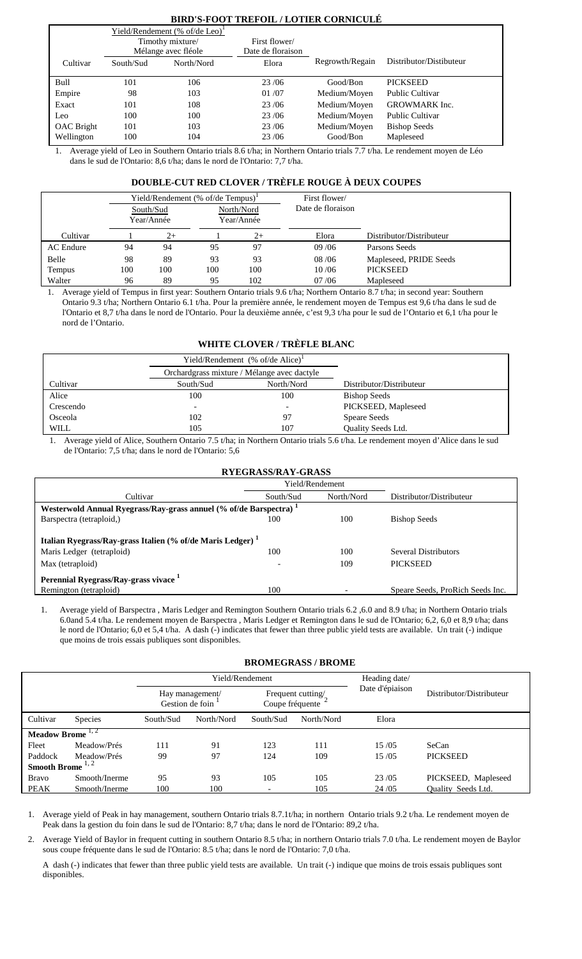## **BIRD'S-FOOT TREFOIL / LOTIER CORNICULÉ**

|                   |           | Yield/Rendement (% of/de Leo) <sup>1</sup> |                   |                 |                         |
|-------------------|-----------|--------------------------------------------|-------------------|-----------------|-------------------------|
|                   |           | Timothy mixture/                           | First flower/     |                 |                         |
|                   |           | Mélange avec fléole                        | Date de floraison |                 |                         |
| Cultivar          | South/Sud | North/Nord                                 | Elora             | Regrowth/Regain | Distributor/Distibuteur |
|                   |           |                                            |                   |                 |                         |
| Bull              | 101       | 106                                        | 23/06             | Good/Bon        | <b>PICKSEED</b>         |
| Empire            | 98        | 103                                        | 01/07             | Medium/Moyen    | <b>Public Cultivar</b>  |
| Exact             | 101       | 108                                        | 23/06             | Medium/Moyen    | <b>GROWMARK</b> Inc.    |
| Leo               | 100       | 100                                        | 23/06             | Medium/Moyen    | <b>Public Cultivar</b>  |
| <b>OAC</b> Bright | 101       | 103                                        | 23/06             | Medium/Moyen    | <b>Bishop Seeds</b>     |
| Wellington        | 100       | 104                                        | 23/06             | Good/Bon        | Mapleseed               |

1. Average yield of Leo in Southern Ontario trials 8.6 t/ha; in Northern Ontario trials 7.7 t/ha. Le rendement moyen de Léo dans le sud de l'Ontario: 8,6 t/ha; dans le nord de l'Ontario: 7,7 t/ha.

## **DOUBLE-CUT RED CLOVER / TRÈFLE ROUGE À DEUX COUPES**

|                  |     |                         | Yield/Rendement (% of/de Tempus) <sup>1</sup> |                          | First flower/     |                          |
|------------------|-----|-------------------------|-----------------------------------------------|--------------------------|-------------------|--------------------------|
|                  |     | South/Sud<br>Year/Année |                                               | North/Nord<br>Year/Année | Date de floraison |                          |
| Cultivar         |     | $2+$                    |                                               | $2+$                     | Elora             | Distributor/Distributeur |
| <b>AC</b> Endure | 94  | 94                      | 95                                            | 97                       | 09/06             | Parsons Seeds            |
| Belle            | 98  | 89                      | 93                                            | 93                       | 08/06             | Mapleseed, PRIDE Seeds   |
| Tempus           | 100 | 100                     | 100                                           | 100                      | 10/06             | <b>PICKSEED</b>          |
| Walter           | 96  | 89                      | 95                                            | 102                      | 07/06             | Mapleseed                |

1. Average yield of Tempus in first year: Southern Ontario trials 9.6 t/ha; Northern Ontario 8.7 t/ha; in second year: Southern Ontario 9.3 t/ha; Northern Ontario 6.1 t/ha. Pour la première année, le rendement moyen de Tempus est 9,6 t/ha dans le sud de l'Ontario et 8,7 t/ha dans le nord de l'Ontario. Pour la deuxième année, c'est 9,3 t/ha pour le sud de l'Ontario et 6,1 t/ha pour le nord de l'Ontario.

## **WHITE CLOVER / TRÈFLE BLANC**

|           |                          | Yield/Rendement $% of/de$ Alice) <sup>1</sup> |                          |
|-----------|--------------------------|-----------------------------------------------|--------------------------|
|           |                          | Orchardgrass mixture / Mélange avec dactyle   |                          |
| Cultivar  | South/Sud                | North/Nord                                    | Distributor/Distributeur |
| Alice     | 100                      | 100                                           | <b>Bishop Seeds</b>      |
| Crescendo | $\overline{\phantom{0}}$ |                                               | PICKSEED, Mapleseed      |
| Osceola   | 102                      | 97                                            | <b>Speare Seeds</b>      |
| WILL      | 105                      | 107                                           | Quality Seeds Ltd.       |

1. Average yield of Alice, Southern Ontario 7.5 t/ha; in Northern Ontario trials 5.6 t/ha. Le rendement moyen d'Alice dans le sud de l'Ontario: 7,5 t/ha; dans le nord de l'Ontario: 5,6

| <b>RYEGRASS/RAY-GRASS</b>                                                                                               |                                                                               |            |                                                |  |  |  |  |  |
|-------------------------------------------------------------------------------------------------------------------------|-------------------------------------------------------------------------------|------------|------------------------------------------------|--|--|--|--|--|
|                                                                                                                         | Yield/Rendement                                                               |            |                                                |  |  |  |  |  |
| Cultivar                                                                                                                | South/Sud                                                                     | North/Nord | Distributor/Distributeur                       |  |  |  |  |  |
|                                                                                                                         | Westerwold Annual Ryegrass/Ray-grass annuel (% of/de Barspectra) <sup>1</sup> |            |                                                |  |  |  |  |  |
| Barspectra (tetraploid,)                                                                                                | 100                                                                           | 100        | <b>Bishop Seeds</b>                            |  |  |  |  |  |
| Italian Ryegrass/Ray-grass Italien (% of/de Maris Ledger) <sup>1</sup><br>Maris Ledger (tetraploid)<br>Max (tetraploid) | 100                                                                           | 100<br>109 | <b>Several Distributors</b><br><b>PICKSEED</b> |  |  |  |  |  |
| Perennial Ryegrass/Ray-grass vivace <sup>1</sup><br>Remington (tetraploid)                                              | 100                                                                           |            | Speare Seeds, ProRich Seeds Inc.               |  |  |  |  |  |

1. Average yield of Barspectra , Maris Ledger and Remington Southern Ontario trials 6.2 ,6.0 and 8.9 t/ha; in Northern Ontario trials 6.0and 5.4 t/ha. Le rendement moyen de Barspectra , Maris Ledger et Remington dans le sud de l'Ontario; 6,2, 6,0 et 8,9 t/ha; dans le nord de l'Ontario; 6,0 et 5,4 t/ha. A dash (-) indicates that fewer than three public yield tests are available. Un trait (-) indique que moins de trois essais publiques sont disponibles.

## **BROMEGRASS / BROME**

|                              |                |                                    | Yield/Rendement |                                      | Heading date/ |                 |                           |
|------------------------------|----------------|------------------------------------|-----------------|--------------------------------------|---------------|-----------------|---------------------------|
|                              |                | Hay management/<br>Gestion de foin |                 | Frequent cutting/<br>Coupe fréquente |               | Date d'épiaison | Distributor/Distributeur  |
| Cultivar                     | <b>Species</b> | South/Sud                          | North/Nord      | South/Sud                            | North/Nord    | Elora           |                           |
| Meadow Brome $1, 2$          |                |                                    |                 |                                      |               |                 |                           |
| Fleet                        | Meadow/Prés    | 111                                | 91              | 123                                  | 111           | 15/05           | SeCan                     |
| Paddock                      | Meadow/Prés    | 99                                 | 97              | 124                                  | 109           | 15/05           | <b>PICKSEED</b>           |
| Smooth Brome <sup>1, 2</sup> |                |                                    |                 |                                      |               |                 |                           |
| <b>Bravo</b>                 | Smooth/Inerme  | 95                                 | 93              | 105                                  | 105           | 23/05           | PICKSEED, Mapleseed       |
| PEAK                         | Smooth/Inerme  | 100                                | 100             | $\overline{\phantom{0}}$             | 105           | 24/05           | <b>Ouality Seeds Ltd.</b> |

1. Average yield of Peak in hay management, southern Ontario trials 8.7.1t/ha; in northern Ontario trials 9.2 t/ha. Le rendement moyen de Peak dans la gestion du foin dans le sud de l'Ontario: 8,7 t/ha; dans le nord de l'Ontario: 89,2 t/ha.

2. Average Yield of Baylor in frequent cutting in southern Ontario 8.5 t/ha; in northern Ontario trials 7.0 t/ha. Le rendement moyen de Baylor sous coupe fréquente dans le sud de l'Ontario: 8.5 t/ha; dans le nord de l'Ontario: 7,0 t/ha.

A dash (-) indicates that fewer than three public yield tests are available. Un trait (-) indique que moins de trois essais publiques sont disponibles.